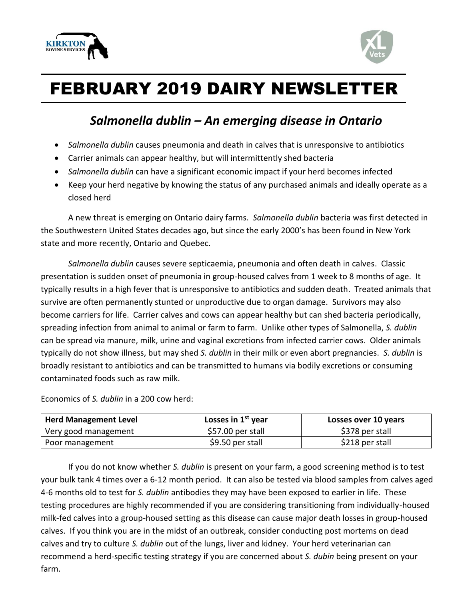



## FEBRUARY 2019 DAIRY NEWSLETTER

## *Salmonella dublin – An emerging disease in Ontario*

- *Salmonella dublin* causes pneumonia and death in calves that is unresponsive to antibiotics
- Carrier animals can appear healthy, but will intermittently shed bacteria
- *Salmonella dublin* can have a significant economic impact if your herd becomes infected
- Keep your herd negative by knowing the status of any purchased animals and ideally operate as a closed herd

A new threat is emerging on Ontario dairy farms. *Salmonella dublin* bacteria was first detected in the Southwestern United States decades ago, but since the early 2000's has been found in New York state and more recently, Ontario and Quebec.

*Salmonella dublin* causes severe septicaemia, pneumonia and often death in calves. Classic presentation is sudden onset of pneumonia in group-housed calves from 1 week to 8 months of age. It typically results in a high fever that is unresponsive to antibiotics and sudden death. Treated animals that survive are often permanently stunted or unproductive due to organ damage. Survivors may also become carriers for life. Carrier calves and cows can appear healthy but can shed bacteria periodically, spreading infection from animal to animal or farm to farm. Unlike other types of Salmonella, *S. dublin* can be spread via manure, milk, urine and vaginal excretions from infected carrier cows. Older animals typically do not show illness, but may shed *S. dublin* in their milk or even abort pregnancies. *S. dublin* is broadly resistant to antibiotics and can be transmitted to humans via bodily excretions or consuming contaminated foods such as raw milk.

Economics of *S. dublin* in a 200 cow herd:

| <b>Herd Management Level</b> | Losses in 1 <sup>st</sup> year | Losses over 10 years |
|------------------------------|--------------------------------|----------------------|
| Very good management         | \$57.00 per stall              | \$378 per stall      |
| Poor management              | \$9.50 per stall               | \$218 per stall      |

If you do not know whether *S. dublin* is present on your farm, a good screening method is to test your bulk tank 4 times over a 6-12 month period. It can also be tested via blood samples from calves aged 4-6 months old to test for *S. dublin* antibodies they may have been exposed to earlier in life. These testing procedures are highly recommended if you are considering transitioning from individually-housed milk-fed calves into a group-housed setting as this disease can cause major death losses in group-housed calves. If you think you are in the midst of an outbreak, consider conducting post mortems on dead calves and try to culture *S. dublin* out of the lungs, liver and kidney. Your herd veterinarian can recommend a herd-specific testing strategy if you are concerned about *S. dubin* being present on your farm.